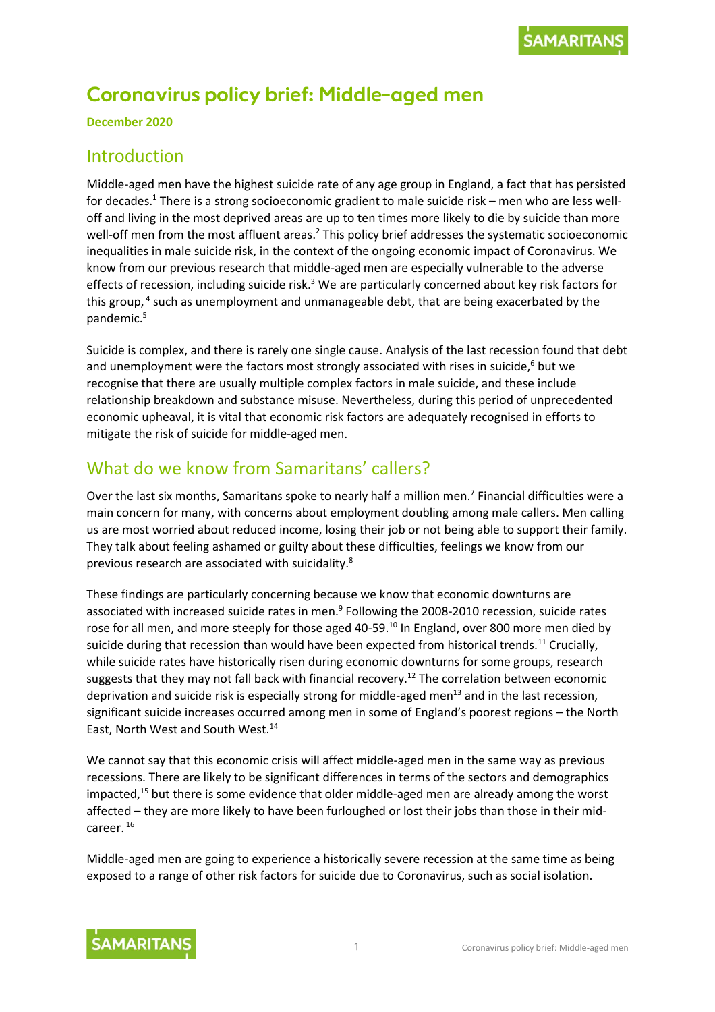# **Coronavirus policy brief: Middle-aged men**

**December 2020**

### Introduction

Middle-aged men have the highest suicide rate of any age group in England, a fact that has persisted for decades.<sup>1</sup> There is a strong socioeconomic gradient to male suicide risk – men who are less welloff and living in the most deprived areas are up to ten times more likely to die by suicide than more well-off men from the most affluent areas.<sup>2</sup> This policy brief addresses the systematic socioeconomic inequalities in male suicide risk, in the context of the ongoing economic impact of Coronavirus. We know from our previous research that middle-aged men are especially vulnerable to the adverse effects of recession, including suicide risk. $3$  We are particularly concerned about key risk factors for this group, 4 such as unemployment and unmanageable debt, that are being exacerbated by the pandemic. 5

Suicide is complex, and there is rarely one single cause. Analysis of the last recession found that debt and unemployment were the factors most strongly associated with rises in suicide, <sup>6</sup> but we recognise that there are usually multiple complex factors in male suicide, and these include relationship breakdown and substance misuse. Nevertheless, during this period of unprecedented economic upheaval, it is vital that economic risk factors are adequately recognised in efforts to mitigate the risk of suicide for middle-aged men.

### What do we know from Samaritans' callers?

Over the last six months, Samaritans spoke to nearly half a million men.<sup>7</sup> Financial difficulties were a main concern for many, with concerns about employment doubling among male callers. Men calling us are most worried about reduced income, losing their job or not being able to support their family. They talk about feeling ashamed or guilty about these difficulties, feelings we know from our previous research are associated with suicidality.<sup>8</sup>

These findings are particularly concerning because we know that economic downturns are associated with increased suicide rates in men.<sup>9</sup> Following the 2008-2010 recession, suicide rates rose for all men, and more steeply for those aged 40-59.<sup>10</sup> In England, over 800 more men died by suicide during that recession than would have been expected from historical trends.<sup>11</sup> Crucially, while suicide rates have historically risen during economic downturns for some groups, research suggests that they may not fall back with financial recovery.<sup>12</sup> The correlation between economic deprivation and suicide risk is especially strong for middle-aged men<sup>13</sup> and in the last recession, significant suicide increases occurred among men in some of England's poorest regions – the North East, North West and South West.<sup>14</sup>

We cannot say that this economic crisis will affect middle-aged men in the same way as previous recessions. There are likely to be significant differences in terms of the sectors and demographics impacted, $15$  but there is some evidence that older middle-aged men are already among the worst affected – they are more likely to have been furloughed or lost their jobs than those in their midcareer. <sup>16</sup>

Middle-aged men are going to experience a historically severe recession at the same time as being exposed to a range of other risk factors for suicide due to Coronavirus, such as social isolation.

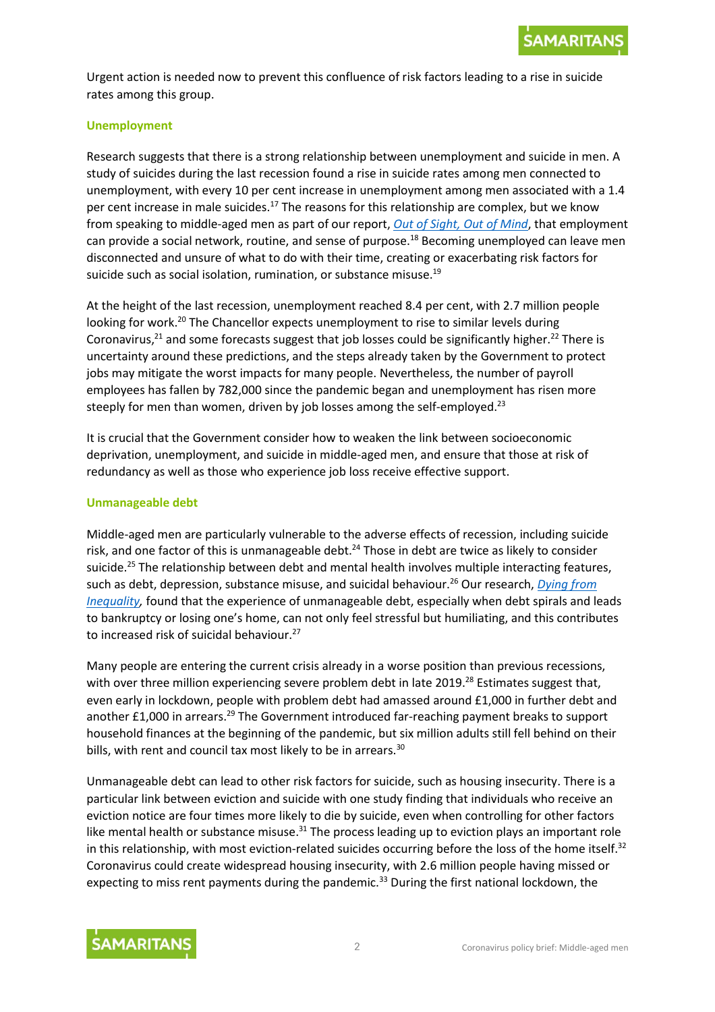

Urgent action is needed now to prevent this confluence of risk factors leading to a rise in suicide rates among this group.

#### **Unemployment**

Research suggests that there is a strong relationship between unemployment and suicide in men. A study of suicides during the last recession found a rise in suicide rates among men connected to unemployment, with every 10 per cent increase in unemployment among men associated with a 1.4 per cent increase in male suicides.<sup>17</sup> The reasons for this relationship are complex, but we know from speaking to middle-aged men as part of our report, *[Out of Sight, Out of Mind](https://media.samaritans.org/documents/Lived_experience_report_FINAL.pdf)*, that employment can provide a social network, routine, and sense of purpose.<sup>18</sup> Becoming unemployed can leave men disconnected and unsure of what to do with their time, creating or exacerbating risk factors for suicide such as social isolation, rumination, or substance misuse.<sup>19</sup>

At the height of the last recession, unemployment reached 8.4 per cent, with 2.7 million people looking for work.<sup>20</sup> The Chancellor expects unemployment to rise to similar levels during Coronavirus,<sup>21</sup> and some forecasts suggest that job losses could be significantly higher.<sup>22</sup> There is uncertainty around these predictions, and the steps already taken by the Government to protect jobs may mitigate the worst impacts for many people. Nevertheless, the number of payroll employees has fallen by 782,000 since the pandemic began and unemployment has risen more steeply for men than women, driven by job losses among the self-employed.<sup>23</sup>

It is crucial that the Government consider how to weaken the link between socioeconomic deprivation, unemployment, and suicide in middle-aged men, and ensure that those at risk of redundancy as well as those who experience job loss receive effective support.

#### **Unmanageable debt**

Middle-aged men are particularly vulnerable to the adverse effects of recession, including suicide risk, and one factor of this is unmanageable debt.<sup>24</sup> Those in debt are twice as likely to consider suicide.<sup>25</sup> The relationship between debt and mental health involves multiple interacting features, such as debt, depression, substance misuse, and suicidal behaviour. <sup>26</sup> Our research, *[Dying from](https://media.samaritans.org/documents/Samaritans_Dying_from_inequality_report_-_summary.pdf)  [Inequality,](https://media.samaritans.org/documents/Samaritans_Dying_from_inequality_report_-_summary.pdf)* found that the experience of unmanageable debt, especially when debt spirals and leads to bankruptcy or losing one's home, can not only feel stressful but humiliating, and this contributes to increased risk of suicidal behaviour.<sup>27</sup>

Many people are entering the current crisis already in a worse position than previous recessions, with over three million experiencing severe problem debt in late 2019.<sup>28</sup> Estimates suggest that, even early in lockdown, people with problem debt had amassed around £1,000 in further debt and another £1,000 in arrears.<sup>29</sup> The Government introduced far-reaching payment breaks to support household finances at the beginning of the pandemic, but six million adults still fell behind on their bills, with rent and council tax most likely to be in arrears.<sup>30</sup>

Unmanageable debt can lead to other risk factors for suicide, such as housing insecurity. There is a particular link between eviction and suicide with one study finding that individuals who receive an eviction notice are four times more likely to die by suicide, even when controlling for other factors like mental health or substance misuse.<sup>31</sup> The process leading up to eviction plays an important role in this relationship, with most eviction-related suicides occurring before the loss of the home itself.<sup>32</sup> Coronavirus could create widespread housing insecurity, with 2.6 million people having missed or expecting to miss rent payments during the pandemic.<sup>33</sup> During the first national lockdown, the

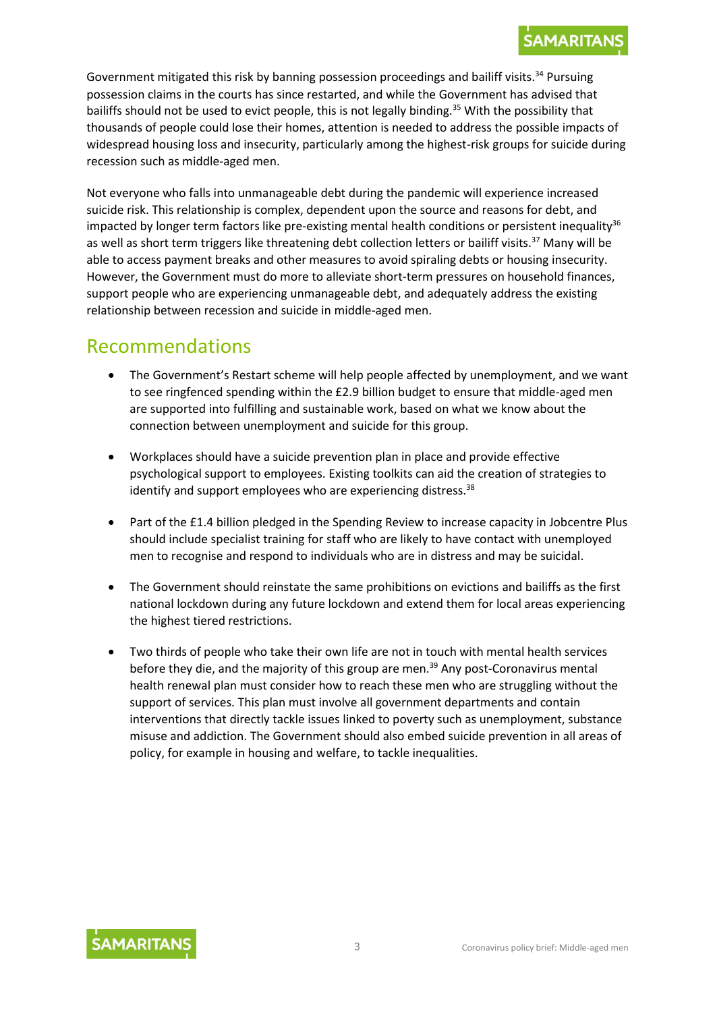Government mitigated this risk by banning possession proceedings and bailiff visits.<sup>34</sup> Pursuing possession claims in the courts has since restarted, and while the Government has advised that bailiffs should not be used to evict people, this is not legally binding.<sup>35</sup> With the possibility that thousands of people could lose their homes, attention is needed to address the possible impacts of widespread housing loss and insecurity, particularly among the highest-risk groups for suicide during recession such as middle-aged men.

Not everyone who falls into unmanageable debt during the pandemic will experience increased suicide risk. This relationship is complex, dependent upon the source and reasons for debt, and impacted by longer term factors like pre-existing mental health conditions or persistent inequality<sup>36</sup> as well as short term triggers like threatening debt collection letters or bailiff visits. <sup>37</sup> Many will be able to access payment breaks and other measures to avoid spiraling debts or housing insecurity. However, the Government must do more to alleviate short-term pressures on household finances, support people who are experiencing unmanageable debt, and adequately address the existing relationship between recession and suicide in middle-aged men.

## Recommendations

- The Government's Restart scheme will help people affected by unemployment, and we want to see ringfenced spending within the £2.9 billion budget to ensure that middle-aged men are supported into fulfilling and sustainable work, based on what we know about the connection between unemployment and suicide for this group.
- Workplaces should have a suicide prevention plan in place and provide effective psychological support to employees. Existing toolkits can aid the creation of strategies to identify and support employees who are experiencing distress. $38$
- Part of the £1.4 billion pledged in the Spending Review to increase capacity in Jobcentre Plus should include specialist training for staff who are likely to have contact with unemployed men to recognise and respond to individuals who are in distress and may be suicidal.
- The Government should reinstate the same prohibitions on evictions and bailiffs as the first national lockdown during any future lockdown and extend them for local areas experiencing the highest tiered restrictions.
- Two thirds of people who take their own life are not in touch with mental health services before they die, and the majority of this group are men.<sup>39</sup> Any post-Coronavirus mental health renewal plan must consider how to reach these men who are struggling without the support of services. This plan must involve all government departments and contain interventions that directly tackle issues linked to poverty such as unemployment, substance misuse and addiction. The Government should also embed suicide prevention in all areas of policy, for example in housing and welfare, to tackle inequalities.

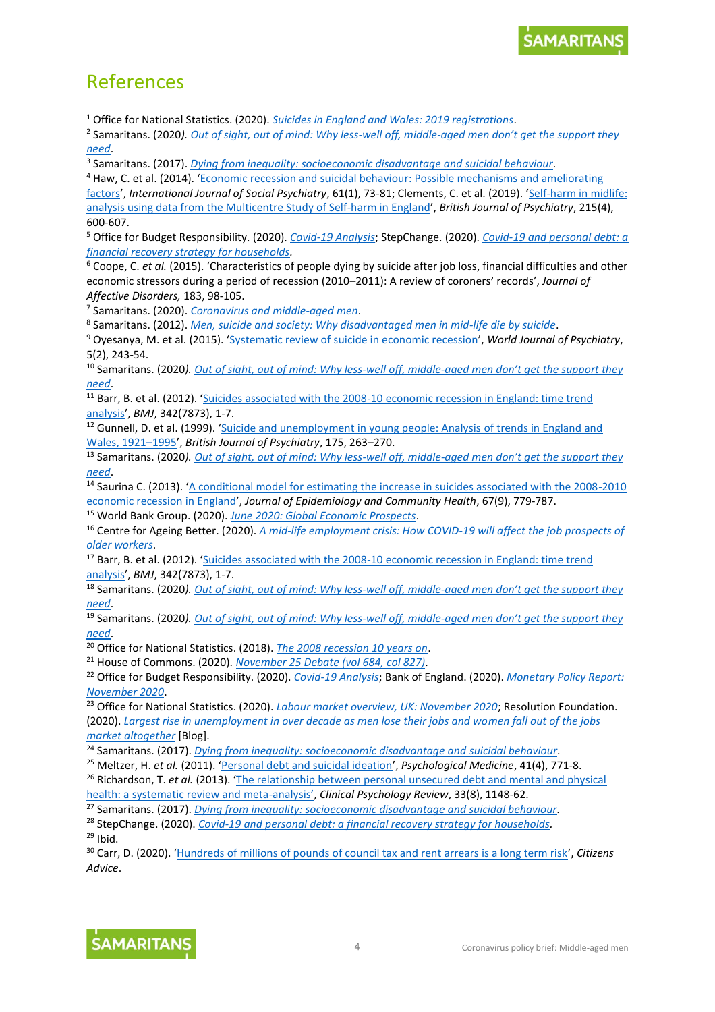# References

<sup>1</sup> Office for National Statistics. (2020). *[Suicides in England and Wales: 2019 registrations](https://www.ons.gov.uk/peoplepopulationandcommunity/birthsdeathsandmarriages/deaths/bulletins/suicidesintheunitedkingdom/2019registrations)*.

2 Samaritans. (2020*)[. Out of sight, out of mind: Why less-well off, middle-](https://media.samaritans.org/documents/Lived_experience_report_FINAL.pdf)aged men don't get the support they [need](https://media.samaritans.org/documents/Lived_experience_report_FINAL.pdf)*.

3 Samaritans. (2017). *[Dying from inequality: socioeconomic disadvantage and suicidal behaviour.](https://media.samaritans.org/documents/Samaritans_Dying_from_inequality_report_-_summary.pdf)*

<sup>4</sup> Haw, C. et al. (2014). '[Economic recession and suicidal behaviour: Possible mechanisms and ameliorating](https://pubmed.ncbi.nlm.nih.gov/24903684/)  [factors](https://pubmed.ncbi.nlm.nih.gov/24903684/)', International Journal of Social Psychiatry, 61(1), 73-81; Clements, C. et al. (2019). 'Self-harm in midlife: [analysis using data from the Multicentre Study of Self-harm in England](https://www.cambridge.org/core/journals/the-british-journal-of-psychiatry/article/selfharm-in-midlife-analysis-using-data-from-the-multicentre-study-of-selfharm-in-england/80EA645F0569202A17EDE0E6B03B83BE)', *British Journal of Psychiatry*, 215(4), 600-607.

<sup>5</sup> Office for Budget Responsibility. (2020). *[Covid-19](https://obr.uk/coronavirus-analysis/) Analysis*; StepChange. (2020). *Covid-19 [and personal debt: a](https://www.stepchange.org/Portals/0/assets/pdf/coronavirus-policy-briefing-stepchange.pdf)  [financial recovery strategy for households.](https://www.stepchange.org/Portals/0/assets/pdf/coronavirus-policy-briefing-stepchange.pdf)*

<sup>6</sup> Coope, C. *et al.* (2015). 'Characteristics of people dying by suicide after job loss, financial difficulties and other economic stressors during a period of recession (2010–2011): A review of coroners׳ records', *Journal of Affective Disorders,* 183, 98-105.

7 Samaritans. (2020). *[Coronavirus and middle-aged men](https://www.samaritans.org/about-samaritans/research-policy/understanding-our-callers-during-covid-19-pandemic/coronavirus-and-middle-aged-men/)*.

8 Samaritans. (2012). *[Men, suicide and society: Why disadvantaged men in mid-life die by suicide](https://media.samaritans.org/documents/Samaritans_MenSuicideSociety_ResearchReport2012.pdf)*.

<sup>9</sup> Oyesanya, M. et al. (2015). '[Systematic review of suicide in economic recession](https://www.ncbi.nlm.nih.gov/pmc/articles/PMC4473496/)', *World Journal of Psychiatry*, 5(2), 243-54.

<sup>10</sup> Samaritans. (2020*). [Out of sight, out of mind: Why less-well off, middle-](https://media.samaritans.org/documents/Lived_experience_report_FINAL.pdf)aged men don't get the support they [need](https://media.samaritans.org/documents/Lived_experience_report_FINAL.pdf)*.

<sup>11</sup> Barr, B. et al. (2012). 'Suicides associated with the 2008-10 economic recession in England: time trend [analysis](https://www.bmj.com/content/345/bmj.e5142)', *BMJ*, 342(7873), 1-7.

<sup>12</sup> Gunnell, D. et al. (1999). '[Suicide and unemployment in young people: Analysis](https://doi.org/10.1192/bjp.175.3.263) of trends in England and [Wales, 1921](https://doi.org/10.1192/bjp.175.3.263)–1995', *British Journal of Psychiatry*, 175, 263–270.

<sup>13</sup> Samaritans. (2020*). [Out of sight, out of mind: Why less-well off, middle-a](https://media.samaritans.org/documents/Lived_experience_report_FINAL.pdf)ged men don't get the support they [need](https://media.samaritans.org/documents/Lived_experience_report_FINAL.pdf)*.

<sup>14</sup> Saurina C. (2013). '[A conditional model for estimating the increase in suicides associated with the 2008-2010](https://www.jstor.org/stable/43281615?seq=1)  [economic recession in England](https://www.jstor.org/stable/43281615?seq=1)', *Journal of Epidemiology and Community Health*, 67(9), 779-787.

<sup>15</sup> World Bank Group. (2020). *June 2020: Global [Economic Prospects](https://www.worldbank.org/en/news/press-release/2020/06/08/covid-19-to-plunge-global-economy-into-worst-recession-since-world-war-ii)*.

<sup>16</sup> Centre for Ageing Better. (2020). *[A mid-life employment crisis: How COVID-19 will affect the](https://www.ageing-better.org.uk/sites/default/files/2020-08/Tackling-worklessness-among-over-50s-after-covid-report.pdf) job prospects of [older workers](https://www.ageing-better.org.uk/sites/default/files/2020-08/Tackling-worklessness-among-over-50s-after-covid-report.pdf)*.

17 Barr, B. et al. (2012). 'Suicides associated with the 2008-10 economic recession in England: time trend [analysis](https://www.bmj.com/content/345/bmj.e5142)', *BMJ*, 342(7873), 1-7.

<sup>18</sup> Samaritans. (2020*). [Out of sight, out of mind: Why less-well off, middle-](https://media.samaritans.org/documents/Lived_experience_report_FINAL.pdf)aged men don't get the support they [need](https://media.samaritans.org/documents/Lived_experience_report_FINAL.pdf)*.

<sup>19</sup> Samaritans. (2020*). [Out of sight, out of mind: Why less-well off, middle-](https://media.samaritans.org/documents/Lived_experience_report_FINAL.pdf)aged men don't get the support they [need](https://media.samaritans.org/documents/Lived_experience_report_FINAL.pdf)*.

<sup>20</sup> Office for National Statistics. (2018). *[The 2008 recession 10 years on](https://www.ons.gov.uk/economy/grossdomesticproductgdp/articles/the2008recession10yearson/2018-04-30)*.

<sup>21</sup> House of Commons. (2020). *[November 25 Debate](https://hansard.parliament.uk/commons/2020-11-25/debates/6437F778-628F-48A1-ADF3-C06BA1C09EBA/SpendingReview2020AndOBRForecast) (vol 684, col 827)*.

<sup>22</sup> Office for Budget Responsibility. (2020). *[Covid-19](https://obr.uk/coronavirus-analysis/) Analysis*; Bank of England. (2020). *[Monetary Policy Report:](https://www.bankofengland.co.uk/monetary-policy-report/2020/november-2020)  [November 2020](https://www.bankofengland.co.uk/monetary-policy-report/2020/november-2020)*.

<sup>23</sup> Office for National Statistics. (2020). *[Labour market overview, UK: November 2020](https://www.ons.gov.uk/employmentandlabourmarket/peopleinwork/employmentandemployeetypes/bulletins/uklabourmarket/november2020)*; Resolution Foundation. (2020). *[Largest rise in unemployment in over decade as men lose their jobs and women fall out of the jobs](https://www.resolutionfoundation.org/press-releases/largest-rise-in-unemployment-in-over-decade-as-men-lose-their-jobs-and-women-fall-out-of-the-jobs-market-altogether/)  [market altogether](https://www.resolutionfoundation.org/press-releases/largest-rise-in-unemployment-in-over-decade-as-men-lose-their-jobs-and-women-fall-out-of-the-jobs-market-altogether/)* [Blog].

<sup>24</sup> Samaritans. (2017). *[Dying from inequality: socioeconomic disadvantage and suicidal behaviour](Samaritans.%20(2017).%20Dying%20from%20inequality:%20socioeconomic%20disadvantage%20and%20suicidal%20behaviour.)*.

<sup>25</sup> Meltzer, H. *et al.* (2011). '[Personal debt and suicidal ideation](https://pubmed.ncbi.nlm.nih.gov/20550757/)', *Psychological Medicine*, 41(4), 771-8.

<sup>26</sup> Richardson, T. *et al.* (2013). '[The relationship between personal unsecured debt and mental and physical](https://pubmed.ncbi.nlm.nih.gov/24121465/)  [health: a systematic review and meta-](https://pubmed.ncbi.nlm.nih.gov/24121465/)analysis', *Clinical Psychology Review*, 33(8), 1148-62.

<sup>27</sup> Samaritans. (2017). *[Dying from inequality: socioeconomic disadvantage and suicidal behaviour.](https://media.samaritans.org/documents/Samaritans_Dying_from_inequality_report_-_summary.pdf)*

<sup>28</sup> StepChange. (2020). *Covid-19 [and personal debt: a financial recovery strategy for households.](https://www.stepchange.org/Portals/0/assets/pdf/coronavirus-policy-briefing-stepchange.pdf)*

 $29$  Ibid.

<sup>30</sup> Carr, D. (2020). '[Hundreds of millions of pounds of council tax and rent arrears is a long term risk](https://wearecitizensadvice.org.uk/hundreds-of-millions-of-pounds-of-council-tax-and-rent-arrears-is-a-long-term-risk-742dae3df79b)', *Citizens Advice*.